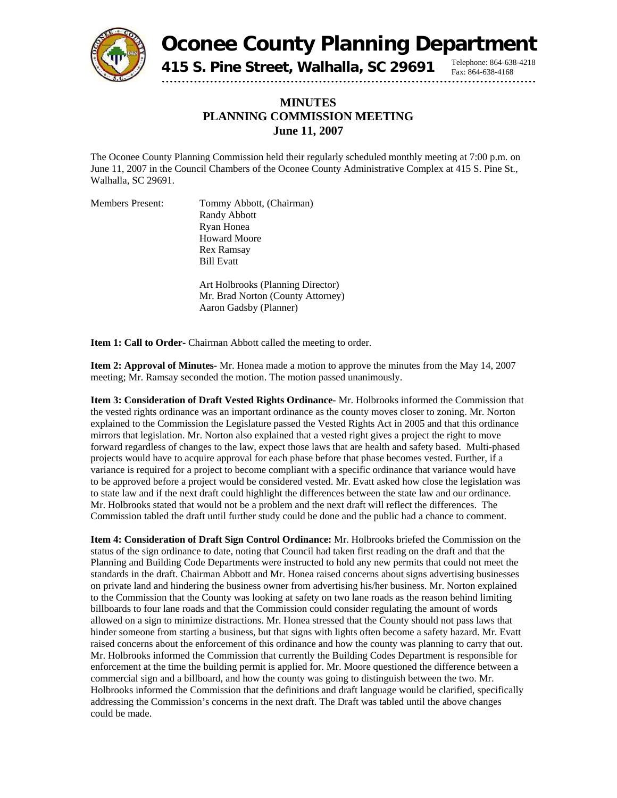

**Oconee County Planning Department**

Fax: 864-638-4168

**415 S. Pine Street, Walhalla, SC 29691** Telephone: 864-638-4218

## **MINUTES PLANNING COMMISSION MEETING June 11, 2007**

The Oconee County Planning Commission held their regularly scheduled monthly meeting at 7:00 p.m. on June 11, 2007 in the Council Chambers of the Oconee County Administrative Complex at 415 S. Pine St., Walhalla, SC 29691.

Members Present: Tommy Abbott, (Chairman) Randy Abbott Ryan Honea Howard Moore Rex Ramsay Bill Evatt

> Art Holbrooks (Planning Director) Mr. Brad Norton (County Attorney) Aaron Gadsby (Planner)

**Item 1: Call to Order-** Chairman Abbott called the meeting to order.

**Item 2: Approval of Minutes-** Mr. Honea made a motion to approve the minutes from the May 14, 2007 meeting; Mr. Ramsay seconded the motion. The motion passed unanimously.

**Item 3: Consideration of Draft Vested Rights Ordinance-** Mr. Holbrooks informed the Commission that the vested rights ordinance was an important ordinance as the county moves closer to zoning. Mr. Norton explained to the Commission the Legislature passed the Vested Rights Act in 2005 and that this ordinance mirrors that legislation. Mr. Norton also explained that a vested right gives a project the right to move forward regardless of changes to the law, expect those laws that are health and safety based. Multi-phased projects would have to acquire approval for each phase before that phase becomes vested. Further, if a variance is required for a project to become compliant with a specific ordinance that variance would have to be approved before a project would be considered vested. Mr. Evatt asked how close the legislation was to state law and if the next draft could highlight the differences between the state law and our ordinance. Mr. Holbrooks stated that would not be a problem and the next draft will reflect the differences. The Commission tabled the draft until further study could be done and the public had a chance to comment.

**Item 4: Consideration of Draft Sign Control Ordinance:** Mr. Holbrooks briefed the Commission on the status of the sign ordinance to date, noting that Council had taken first reading on the draft and that the Planning and Building Code Departments were instructed to hold any new permits that could not meet the standards in the draft. Chairman Abbott and Mr. Honea raised concerns about signs advertising businesses on private land and hindering the business owner from advertising his/her business. Mr. Norton explained to the Commission that the County was looking at safety on two lane roads as the reason behind limiting billboards to four lane roads and that the Commission could consider regulating the amount of words allowed on a sign to minimize distractions. Mr. Honea stressed that the County should not pass laws that hinder someone from starting a business, but that signs with lights often become a safety hazard. Mr. Evatt raised concerns about the enforcement of this ordinance and how the county was planning to carry that out. Mr. Holbrooks informed the Commission that currently the Building Codes Department is responsible for enforcement at the time the building permit is applied for. Mr. Moore questioned the difference between a commercial sign and a billboard, and how the county was going to distinguish between the two. Mr. Holbrooks informed the Commission that the definitions and draft language would be clarified, specifically addressing the Commission's concerns in the next draft. The Draft was tabled until the above changes could be made.